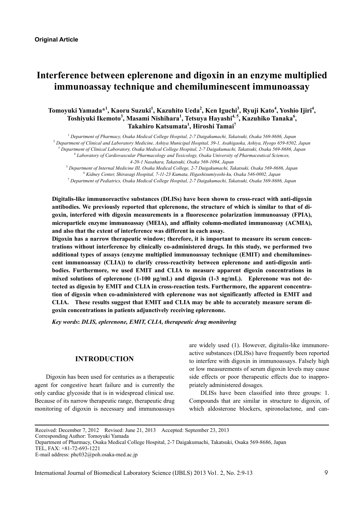# **Interference between eplerenone and digoxin in an enzyme multiplied immunoassay technique and chemiluminescent immunoassay**

# $\Delta$ Tomoyuki Yamada\*<sup>1</sup>, Kaoru Suzuki<sup>1</sup>, Kazuhito Ueda<sup>2</sup>, Ken Iguchi<sup>3</sup>, Ryuji Kato<sup>4</sup>, Yoshio Ijiri<sup>4</sup>, **Toshiyuki Ikemoto<sup>3</sup> , Masami Nishihara<sup>1</sup> , Tetsuya Hayashi4, 5, Kazuhiko Tanaka6 , Takahiro Katsumata<sup>1</sup> , Hiroshi Tamai7**

  *Department of Pharmacy, Osaka Medical College Hospital, 2-7 Daigakumachi, Takatsuki, Osaka 569-8686, Japan Department of Clinical and Laboratory Medicine, Ashiya Municipal Hospital, 39-1, Asahigaoka, Ashiya, Hyogo 659-8502, Japan Department of Clinical Laboratory, Osaka Medical College Hospital, 2-7 Daigakumachi, Takatsuki, Osaka 569-8686, Japan Laboratory of Cardiovascular Pharmacology and Toxicology, Osaka University of Pharmaceutical Sciences, 4-20-1 Nasahara, Takatsuki, Osaka 569-1094, Japan* 

5  *Department of Internal Medicine III, Osaka Medical College, 2-7 Daigakumachi, Takatsuki, Osaka 569-8686, Japan* 6  *Kidney Center, Shirasagi Hospital, 7-11-23 Kumata, Higashisumiyoshi-ku, Osaka 546-0002, Japan* 

7  *Department of Pediatrics, Osaka Medical College Hospital, 2-7 Daigakumachi, Takatsuki, Osaka 569-8686, Japan* 

**Digitalis-like immunoreactive substances (DLISs) have been shown to cross-react with anti-digoxin antibodies. We previously reported that eplerenone, the structure of which is similar to that of digoxin, interfered with digoxin measurements in a fluorescence polarization immunoassay (FPIA), microparticle enzyme immunoassay (MEIA), and affinity column-mediated immunoassay (ACMIA), and also that the extent of interference was different in each assay.** 

**Digoxin has a narrow therapeutic window; therefore, it is important to measure its serum concentrations without interference by clinically co-administered drugs. In this study, we performed two additional types of assays (enzyme multiplied immunoassay technique (EMIT) and chemiluminescent immunoassay (CLIA)) to clarify cross-reactivity between eplerenone and anti-digoxin antibodies. Furthermore, we used EMIT and CLIA to measure apparent digoxin concentrations in mixed solutions of eplerenone (1-100 μg/mL) and digoxin (1-3 ng/mL). Eplerenone was not detected as digoxin by EMIT and CLIA in cross-reaction tests. Furthermore, the apparent concentration of digoxin when co-administered with eplerenone was not significantly affected in EMIT and CLIA. These results suggest that EMIT and CLIA may be able to accurately measure serum digoxin concentrations in patients adjunctively receiving eplerenone.** 

*Key words***:** *DLIS, eplerenone, EMIT, CLIA, therapeutic drug monitoring* 

### **INTRODUCTION**

Digoxin has been used for centuries as a therapeutic agent for congestive heart failure and is currently the only cardiac glycoside that is in widespread clinical use. Because of its narrow therapeutic range, therapeutic drug monitoring of digoxin is necessary and immunoassays are widely used (1). However, digitalis-like immunoreactive substances (DLISs) have frequently been reported to interfere with digoxin in immunoassays. Falsely high or low measurements of serum digoxin levels may cause side effects or poor therapeutic effects due to inappropriately administered dosages.

DLISs have been classified into three groups: 1. Compounds that are similar in structure to digoxin, of which aldosterone blockers, spironolactone, and can-

Received: December 7, 2012 Revised: June 21, 2013 Accepted: September 23, 2013

Corresponding Author: Tomoyuki Yamada

Department of Pharmacy, Osaka Medical College Hospital, 2-7 Daigakumachi, Takatsuki, Osaka 569-8686, Japan

TEL, FAX: +81-72-693-1221

E-mail address: phc032@poh.osaka-med.ac.jp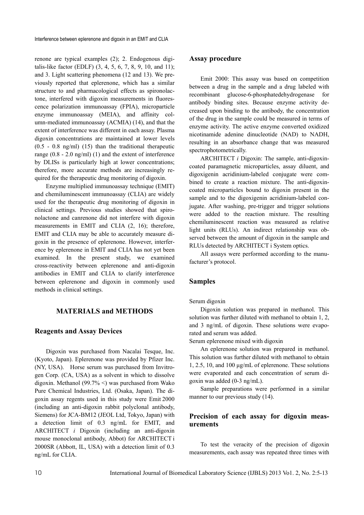renone are typical examples (2); 2. Endogenous digitalis-like factor (EDLF) (3, 4, 5, 6, 7, 8, 9, 10, and 11); and 3. Light scattering phenomena (12 and 13). We previously reported that eplerenone, which has a similar structure to and pharmacological effects as spironolactone, interfered with digoxin measurements in fluorescence polarization immunoassay (FPIA), microparticle enzyme immunoassay (MEIA), and affinity column-mediated immunoassay (ACMIA) (14), and that the extent of interference was different in each assay. Plasma digoxin concentrations are maintained at lower levels  $(0.5 - 0.8 \text{ ng/ml})$   $(15)$  than the traditional therapeutic range (0.8 - 2.0 ng/ml) (1) and the extent of interference by DLISs is particularly high at lower concentrations; therefore, more accurate methods are increasingly required for the therapeutic drug monitoring of digoxin.

Enzyme multiplied immunoassay technique (EMIT) and chemiluminescent immunoassay (CLIA) are widely used for the therapeutic drug monitoring of digoxin in clinical settings. Previous studies showed that spironolactone and canrenone did not interfere with digoxin measurements in EMIT and CLIA (2, 16); therefore, EMIT and CLIA may be able to accurately measure digoxin in the presence of eplerenone. However, interference by eplerenone in EMIT and CLIA has not yet been examined. In the present study, we examined cross-reactivity between eplerenone and anti-digoxin antibodies in EMIT and CLIA to clarify interference between eplerenone and digoxin in commonly used methods in clinical settings.

# **MATERIALS and METHODS**

#### **Reagents and Assay Devices**

Digoxin was purchased from Nacalai Tesque, Inc. (Kyoto, Japan). Eplerenone was provided by Pfizer Inc. (NY, USA). Horse serum was purchased from Invitrogen Corp. (CA, USA) as a solvent in which to dissolve digoxin. Methanol (99.7% <) was purchased from Wako Pure Chemical Industries, Ltd. (Osaka, Japan). The digoxin assay regents used in this study were Emit 2000 (including an anti-digoxin rabbit polyclonal antibody, Siemens) for JCA-BM12 (JEOL Ltd, Tokyo, Japan) with a detection limit of 0.3 ng/mL for EMIT, and ARCHITECT *i* Digoxin (including an anti-digoxin mouse monoclonal antibody, Abbot) for ARCHITECT i 2000SR (Abbott, IL, USA) with a detection limit of 0.3 ng/mL for CLIA.

### **Assay procedure**

Emit 2000: This assay was based on competition between a drug in the sample and a drug labeled with recombinant glucose-6-phosphatedehydrogenase for antibody binding sites. Because enzyme activity decreased upon binding to the antibody, the concentration of the drug in the sample could be measured in terms of enzyme activity. The active enzyme converted oxidized nicotinamide adenine dinucleotide (NAD) to NADH, resulting in an absorbance change that was measured spectrophotometrically.

ARCHITECT *i* Digoxin: The sample, anti-digoxincoated paramagnetic microparticles, assay diluent, and digoxigenin acridinium-labeled conjugate were combined to create a reaction mixture. The anti-digoxincoated microparticles bound to digoxin present in the sample and to the digoxigenin acridinium-labeled conjugate. After washing, pre-trigger and trigger solutions were added to the reaction mixture. The resulting chemiluminescent reaction was measured as relative light units (RLUs). An indirect relationship was observed between the amount of digoxin in the sample and RLUs detected by ARCHITECT i System optics.

All assays were performed according to the manufacturer's protocol.

### **Samples**

#### Serum digoxin

Digoxin solution was prepared in methanol. This solution was further diluted with methanol to obtain 1, 2, and 3 ng/mL of digoxin. These solutions were evaporated and serum was added.

Serum eplerenone mixed with digoxin

An eplerenone solution was prepared in methanol. This solution was further diluted with methanol to obtain 1, 2.5, 10, and 100 μg/mL of eplerenone. These solutions were evaporated and each concentration of serum digoxin was added (0-3 ng/mL).

Sample preparations were performed in a similar manner to our previous study  $(14)$ .

### **Precision of each assay for digoxin measurements**

To test the veracity of the precision of digoxin measurements, each assay was repeated three times with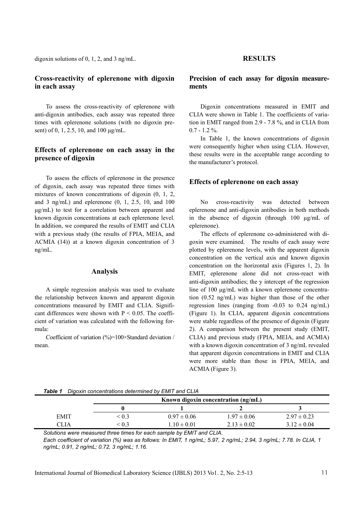digoxin solutions of 0, 1, 2, and 3 ng/mL.

# **Cross-reactivity of eplerenone with digoxin in each assay**

To assess the cross-reactivity of eplerenone with anti-digoxin antibodies, each assay was repeated three times with eplerenone solutions (with no digoxin present) of 0, 1, 2.5, 10, and 100 μg/mL.

# **Effects of eplerenone on each assay in the presence of digoxin**

To assess the effects of eplerenone in the presence of digoxin, each assay was repeated three times with mixtures of known concentrations of digoxin  $(0, 1, 2, 1)$ and 3 ng/mL) and eplerenone  $(0, 1, 2.5, 10,$  and  $100$ μg/mL) to test for a correlation between apparent and known digoxin concentrations at each eplerenone level. In addition, we compared the results of EMIT and CLIA with a previous study (the results of FPIA, MEIA, and ACMIA (14)) at a known digoxin concentration of 3 ng/mL.

### **Analysis**

A simple regression analysis was used to evaluate the relationship between known and apparent digoxin concentrations measured by EMIT and CLIA. Significant differences were shown with  $P \le 0.05$ . The coefficient of variation was calculated with the following formula:

Coefficient of variation (%)=100×Standard deviation / mean.

### **RESULTS**

# **Precision of each assay for digoxin measurements**

Digoxin concentrations measured in EMIT and CLIA were shown in Table 1. The coefficients of variation in EMIT ranged from 2.9 - 7.8 %, and in CLIA from  $0.7 - 1.2 \%$ .

In Table 1, the known concentrations of digoxin were consequently higher when using CLIA. However, these results were in the acceptable range according to the manufacturer's protocol.

#### **Effects of eplerenone on each assay**

No cross-reactivity was detected between eplerenone and anti-digoxin antibodies in both methods in the absence of digoxin (through 100 μg/mL of eplerenone).

The effects of eplerenone co-administered with digoxin were examined. The results of each assay were plotted by eplerenone levels, with the apparent digoxin concentration on the vertical axis and known digoxin concentration on the horizontal axis (Figures 1, 2). In EMIT, eplerenone alone did not cross-react with anti-digoxin antibodies; the y intercept of the regression line of 100 μg/mL with a known eplerenone concentration (0.52 ng/mL) was higher than those of the other regression lines (ranging from  $-0.03$  to  $0.24$  ng/mL) (Figure 1). In CLIA, apparent digoxin concentrations were stable regardless of the presence of digoxin (Figure 2). A comparison between the present study (EMIT, CLIA) and previous study (FPIA, MEIA, and ACMIA) with a known digoxin concentration of 3 ng/mL revealed that apparent digoxin concentrations in EMIT and CLIA were more stable than those in FPIA, MEIA, and ACMIA (Figure 3).

|  | Table 1 Digoxin concentrations determined by EMIT and CLIA |  |
|--|------------------------------------------------------------|--|
|--|------------------------------------------------------------|--|

|             | Known digoxin concentration $(ng/mL)$ |                 |                 |                 |
|-------------|---------------------------------------|-----------------|-----------------|-----------------|
|             |                                       |                 |                 |                 |
| <b>EMIT</b> | ${}^{<}$ 0.3                          | $0.97 \pm 0.06$ | $1.97 \pm 0.06$ | $2.97 \pm 0.23$ |
| CLIA        | $\leq 0.3$                            | $1.10 \pm 0.01$ | $2.13 \pm 0.02$ | $3.12 \pm 0.04$ |

*Solutions were measured three times for each sample by EMIT and CLIA.* 

*Each coefficient of variation (%) was as follows: In EMIT, 1 ng/mL; 5.97, 2 ng/mL; 2.94, 3 ng/mL; 7.78. In CLIA, 1 ng/mL; 0.91, 2 ng/mL; 0.72, 3 ng/mL; 1.16.*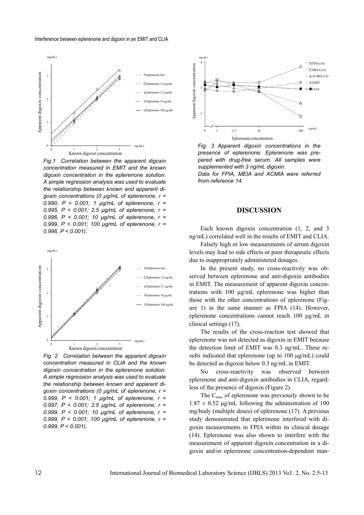

*Fig.1 Correlation between the apparent digoxin concentration measured in EMIT and the known digoxin concentration in the eplerenone solution. A simple regression analysis was used to evaluate the relationship between known and apparent digoxin concentrations (0 μg/mL of eplerenone, r = 0.990, P < 0.001; 1 μg/mL of eplerenone, r = 0.995, P < 0.001; 2.5 μg/mL of eplerenone, r = 0.996, P < 0.001; 10 μg/mL of eplerenone, r = 0.999, P < 0.001; 100 μg/mL of eplerenone, r = 0.996, P < 0.001).* 



*Fig. 2 Correlation between the apparent digoxin concentration measured in CLIA and the known digoxin concentration in the eplerenone solution. A simple regression analysis was used to evaluate the relationship between known and apparent digoxin concentrations (0 μg/mL of eplerenone, r = 0.999, P < 0.001; 1 μg/mL of eplerenone, r = 0.997, P < 0.001; 2.5 μg/mL of eplerenone, r = 0.999, P < 0.001; 10 μg/mL of eplerenone, r = 0.999, P < 0.001; 100 μg/mL of eplerenone, r = 0.999, P < 0.001).* 



*Fig. 3 Apparent digoxin concentrations in the presence of eplerenone. Eplerenone was prepared with drug-free serum. All samples were supplemented with 3 ng/mL digoxin.* 

*Data for FPIA, MEIA and ACMIA were referred from reference 14.* 

#### **DISCUSSION**

Each known digoxin concentration  $(1, 2, \text{ and } 3)$ ng/mL) correlated well in the results of EMIT and CLIA.

Falsely high or low measurements of serum digoxin levels may lead to side effects or poor therapeutic effects due to inappropriately administered dosages.

In the present study, no cross-reactivity was observed between eplerenone and anti-digoxin antibodies in EMIT. The measurement of apparent digoxin concentrations with 100 μg/mL eplerenone was higher than those with the other concentrations of eplerenone (Figure 1) in the same manner as FPIA (14). However, eplerenone concentrations cannot reach 100 μg/mL in clinical settings (17).

The results of the cross-reaction test showed that eplerenone was not detected as digoxin in EMIT because the detection limit of EMIT was 0.3 ng/mL. These results indicated that eplerenone (up to 100 μg/mL) could be detected as digoxin below 0.3 ng/mL in EMIT.

No cross-reactivity was observed between eplerenone and anti-digoxin antibodies in CLIA, regardless of the presence of digoxin (Figure 2).

The  $C_{\text{max}}$  of eplerenone was previously shown to be  $1.87 \pm 0.52$  μg/mL following the administration of 100 mg/body (multiple doses) of eplerenone (17). A previous study demonstrated that eplerenone interfered with digoxin measurements in FPIA within its clinical dosage (14). Eplerenone was also shown to interfere with the measurement of apparent digoxin concentration in a digoxin and/or eplerenone concentration-dependent man